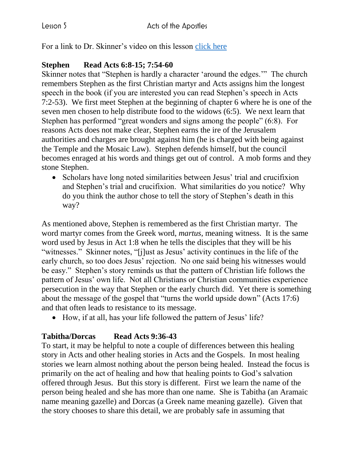For a link to Dr. Skinner's video on this lesson [click here](https://my.amplifymedia.com/amplify/series/unitedmethodistpublishinghouse/30870-acts?fbclid=IwAR3ywGl_HyjOrXPLm8tDJBlnJFFMu-UlPSUogvcW6GrNOJ660HmK3nUMN-U)

## **Stephen Read Acts 6:8-15; 7:54-60**

Skinner notes that "Stephen is hardly a character 'around the edges.'" The church remembers Stephen as the first Christian martyr and Acts assigns him the longest speech in the book (if you are interested you can read Stephen's speech in Acts 7:2-53). We first meet Stephen at the beginning of chapter 6 where he is one of the seven men chosen to help distribute food to the widows (6:5). We next learn that Stephen has performed "great wonders and signs among the people" (6:8). For reasons Acts does not make clear, Stephen earns the ire of the Jerusalem authorities and charges are brought against him (he is charged with being against the Temple and the Mosaic Law). Stephen defends himself, but the council becomes enraged at his words and things get out of control. A mob forms and they stone Stephen.

• Scholars have long noted similarities between Jesus' trial and crucifixion and Stephen's trial and crucifixion. What similarities do you notice? Why do you think the author chose to tell the story of Stephen's death in this way?

As mentioned above, Stephen is remembered as the first Christian martyr. The word martyr comes from the Greek word, *martus*, meaning witness. It is the same word used by Jesus in Act 1:8 when he tells the disciples that they will be his "witnesses." Skinner notes, "[j]ust as Jesus' activity continues in the life of the early church, so too does Jesus' rejection. No one said being his witnesses would be easy." Stephen's story reminds us that the pattern of Christian life follows the pattern of Jesus' own life. Not all Christians or Christian communities experience persecution in the way that Stephen or the early church did. Yet there is something about the message of the gospel that "turns the world upside down" (Acts 17:6) and that often leads to resistance to its message.

How, if at all, has your life followed the pattern of Jesus' life?

## **Tabitha/Dorcas Read Acts 9:36-43**

To start, it may be helpful to note a couple of differences between this healing story in Acts and other healing stories in Acts and the Gospels. In most healing stories we learn almost nothing about the person being healed. Instead the focus is primarily on the act of healing and how that healing points to God's salvation offered through Jesus. But this story is different. First we learn the name of the person being healed and she has more than one name. She is Tabitha (an Aramaic name meaning gazelle) and Dorcas (a Greek name meaning gazelle). Given that the story chooses to share this detail, we are probably safe in assuming that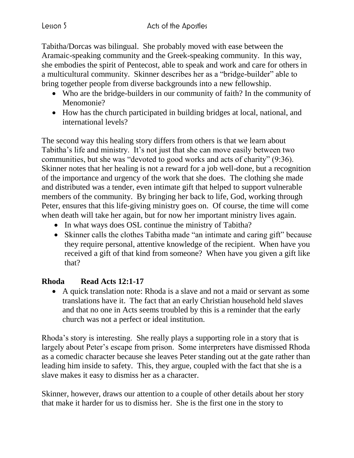Tabitha/Dorcas was bilingual. She probably moved with ease between the Aramaic-speaking community and the Greek-speaking community. In this way, she embodies the spirit of Pentecost, able to speak and work and care for others in a multicultural community. Skinner describes her as a "bridge-builder" able to bring together people from diverse backgrounds into a new fellowship.

- Who are the bridge-builders in our community of faith? In the community of Menomonie?
- How has the church participated in building bridges at local, national, and international levels?

The second way this healing story differs from others is that we learn about Tabitha's life and ministry. It's not just that she can move easily between two communities, but she was "devoted to good works and acts of charity" (9:36). Skinner notes that her healing is not a reward for a job well-done, but a recognition of the importance and urgency of the work that she does. The clothing she made and distributed was a tender, even intimate gift that helped to support vulnerable members of the community. By bringing her back to life, God, working through Peter, ensures that this life-giving ministry goes on. Of course, the time will come when death will take her again, but for now her important ministry lives again.

- In what ways does OSL continue the ministry of Tabitha?
- Skinner calls the clothes Tabitha made "an intimate and caring gift" because they require personal, attentive knowledge of the recipient. When have you received a gift of that kind from someone? When have you given a gift like that?

## **Rhoda Read Acts 12:1-17**

 A quick translation note: Rhoda is a slave and not a maid or servant as some translations have it. The fact that an early Christian household held slaves and that no one in Acts seems troubled by this is a reminder that the early church was not a perfect or ideal institution.

Rhoda's story is interesting. She really plays a supporting role in a story that is largely about Peter's escape from prison. Some interpreters have dismissed Rhoda as a comedic character because she leaves Peter standing out at the gate rather than leading him inside to safety. This, they argue, coupled with the fact that she is a slave makes it easy to dismiss her as a character.

Skinner, however, draws our attention to a couple of other details about her story that make it harder for us to dismiss her. She is the first one in the story to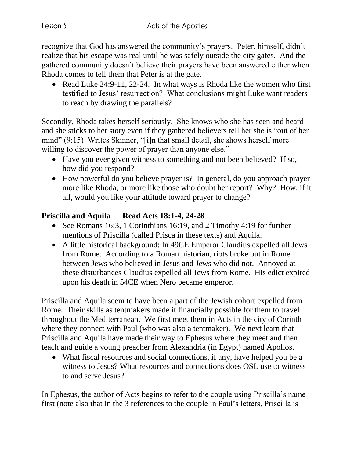Lesson 5

recognize that God has answered the community's prayers. Peter, himself, didn't realize that his escape was real until he was safely outside the city gates. And the gathered community doesn't believe their prayers have been answered either when Rhoda comes to tell them that Peter is at the gate.

• Read Luke 24:9-11, 22-24. In what ways is Rhoda like the women who first testified to Jesus' resurrection? What conclusions might Luke want readers to reach by drawing the parallels?

Secondly, Rhoda takes herself seriously. She knows who she has seen and heard and she sticks to her story even if they gathered believers tell her she is "out of her mind" (9:15) Writes Skinner, "[i]n that small detail, she shows herself more willing to discover the power of prayer than anyone else."

- Have you ever given witness to something and not been believed? If so, how did you respond?
- How powerful do you believe prayer is? In general, do you approach prayer more like Rhoda, or more like those who doubt her report? Why? How, if it all, would you like your attitude toward prayer to change?

## **Priscilla and Aquila Read Acts 18:1-4, 24-28**

- See Romans 16:3, 1 Corinthians 16:19, and 2 Timothy 4:19 for further mentions of Priscilla (called Prisca in these texts) and Aquila.
- A little historical background: In 49CE Emperor Claudius expelled all Jews from Rome. According to a Roman historian, riots broke out in Rome between Jews who believed in Jesus and Jews who did not. Annoyed at these disturbances Claudius expelled all Jews from Rome. His edict expired upon his death in 54CE when Nero became emperor.

Priscilla and Aquila seem to have been a part of the Jewish cohort expelled from Rome. Their skills as tentmakers made it financially possible for them to travel throughout the Mediterranean. We first meet them in Acts in the city of Corinth where they connect with Paul (who was also a tentmaker). We next learn that Priscilla and Aquila have made their way to Ephesus where they meet and then teach and guide a young preacher from Alexandria (in Egypt) named Apollos.

• What fiscal resources and social connections, if any, have helped you be a witness to Jesus? What resources and connections does OSL use to witness to and serve Jesus?

In Ephesus, the author of Acts begins to refer to the couple using Priscilla's name first (note also that in the 3 references to the couple in Paul's letters, Priscilla is